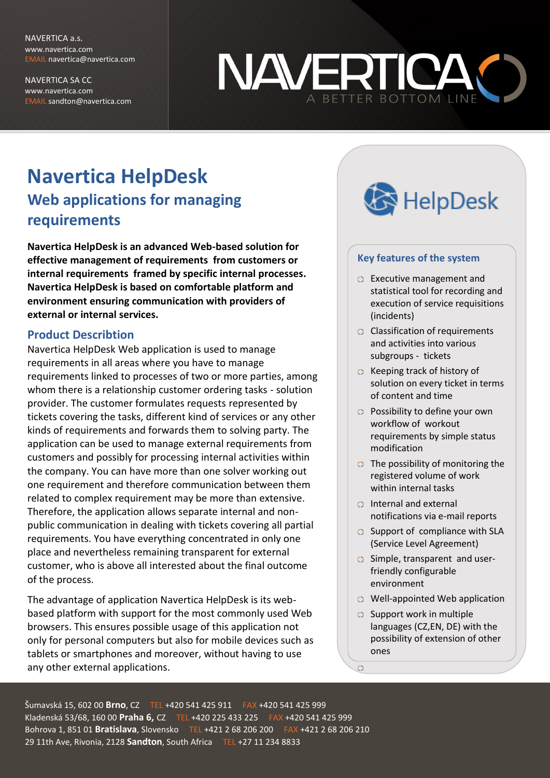NAVERTICA a.s. www.navertica.com EMAIL navertica@navertica.com

NAVERTICA SA CC www.navertica.com EMAIL sandton@navertica.com



# **Navertica HelpDesk Web applications for managing requirements**

**Navertica HelpDesk is an advanced Web-based solution for effective management of requirements from customers or internal requirements framed by specific internal processes. Navertica HelpDesk is based on comfortable platform and environment ensuring communication with providers of external or internal services.**

#### **Product Describtion**

Navertica HelpDesk Web application is used to manage requirements in all areas where you have to manage requirements linked to processes of two or more parties, among whom there is a relationship customer ordering tasks - solution provider. The customer formulates requests represented by tickets covering the tasks, different kind of services or any other kinds of requirements and forwards them to solving party. The application can be used to manage external requirements from customers and possibly for processing internal activities within the company. You can have more than one solver working out one requirement and therefore communication between them related to complex requirement may be more than extensive. Therefore, the application allows separate internal and nonpublic communication in dealing with tickets covering all partial requirements. You have everything concentrated in only one place and nevertheless remaining transparent for external customer, who is above all interested about the final outcome of the process.

The advantage of application Navertica HelpDesk is its webbased platform with support for the most commonly used Web browsers. This ensures possible usage of this application not only for personal computers but also for mobile devices such as tablets or smartphones and moreover, without having to use any other external applications.



#### **Key features of the system**

- Executive management and statistical tool for recording and execution of service requisitions (incidents)
- **C** Classification of requirements and activities into various subgroups - tickets
- $\circ$  Keeping track of history of solution on every ticket in terms of content and time
- Possibility to define your own workflow of workout requirements by simple status modification
- $\circ$  The possibility of monitoring the registered volume of work within internal tasks
- Internal and external notifications via e-mail reports
- $\circ$  Support of compliance with SLA (Service Level Agreement)
- $\circ$  Simple, transparent and userfriendly configurable environment
- Well-appointed Web application
- $\circ$  Support work in multiple languages (CZ,EN, DE) with the possibility of extension of other ones

 $\circ$ 

Šumavská 15, 602 00 **Brno**, CZ TEL +420 541 425 911 FAX +420 541 425 999 Kladenská 53/68, 160 00 **Praha 6,** CZ TEL +420 225 433 225 FAX +420 541 425 999 Bohrova 1, 851 01 **Bratislava**, Slovensko TEL +421 2 68 206 200 FAX +421 2 68 206 210 29 11th Ave, Rivonia, 2128 **Sandton**, South Africa TEL +27 11 234 8833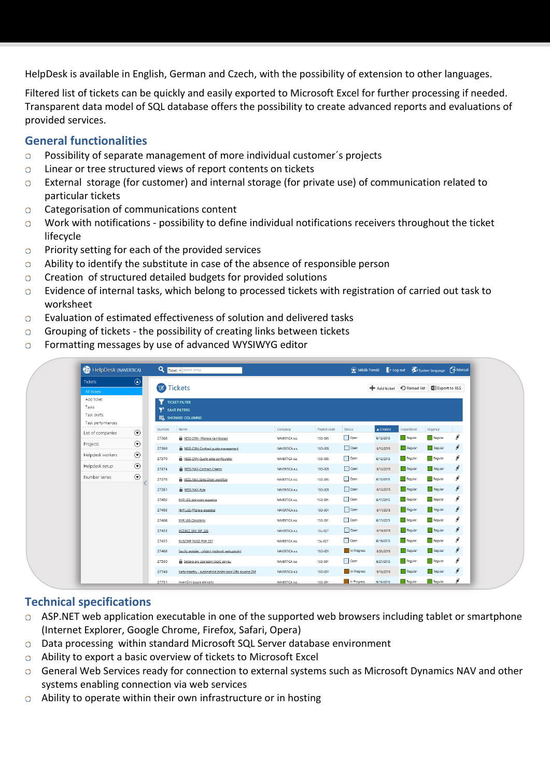HelpDesk is available in English, German and Czech, with the possibility of extension to other languages.

Filtered list of tickets can be quickly and easily exported to Microsoft Excel for further processing if needed. Transparent data model of SQL database offers the possibility to create advanced reports and evaluations of provided services.

## **General functionalities**

- $\circ$ Possibility of separate management of more individual customer´s projects
- $\circ$ Linear or tree structured views of report contents on tickets
- External storage (for customer) and internal storage (for private use) of communication related to  $\circ$ particular tickets
- Categorisation of communications content  $\circ$
- Work with notifications possibility to define individual notifications receivers throughout the ticket  $\circ$ lifecycle
- Priority setting for each of the provided services  $\circ$
- Ability to identify the substitute in case of the absence of responsible person  $\circ$
- Creation of structured detailed budgets for provided solutions  $\circ$
- Evidence of internal tasks, which belong to processed tickets with registration of carried out task to  $\circ$ worksheet
- Evaluation of estimated effectiveness of solution and delivered tasks  $\circ$
- Grouping of tickets the possibility of creating links between tickets  $\circ$
- Formatting messages by use of advanced WYSIWYG editor  $\circ$

| HelpDesk (NAVERTICA) |         |        | Ticket - search string                                        |                |              |             | Manual P Log out System language 7 Manual |            |         |   |  |
|----------------------|---------|--------|---------------------------------------------------------------|----------------|--------------|-------------|-------------------------------------------|------------|---------|---|--|
| <b>Tickets</b>       | $\odot$ |        |                                                               |                |              |             |                                           |            |         |   |  |
| All tickets          |         |        | <b>E</b> Tickets<br>Export to XLS<br>Add ticket C Reload list |                |              |             |                                           |            |         |   |  |
| Add ticket<br>Tasks  |         |        | <b>TICKET FILTER</b>                                          |                |              |             |                                           |            |         |   |  |
| Task drafts          |         |        | SAVE FILTERS                                                  |                |              |             |                                           |            |         |   |  |
| Task performances    |         |        | II SHOWED COLUMNS                                             |                |              |             |                                           |            |         |   |  |
| List of companies    | $\odot$ | Number | Name                                                          | Company        | Project code | Status      | A Created                                 | Importance | Urgency |   |  |
|                      |         | 27368  | NESS-CRM- Příprava na integraci                               | NAVERTICA a.s. | 15D-005      | Open        | 8/12/2015                                 | Regular    | Regular | ø |  |
| Projects             | $\odot$ | 27369  | NESS-CRM-Contract quote management                            | NAVERTICA a.s. | 15D-005      | Open        | 8/12/2015                                 | Regular    | Regular | ş |  |
| Helpdesk workers     | $\odot$ | 27370  | NESS-CRM-Quote sales configurator                             | NAVERTICA a.s. | 15D-005      | Open        | 8/12/2015                                 | Regular    | Regular | ş |  |
| Helpdesk setup       | $\odot$ | 27374  | NESS-NAV-Contract-Creator                                     | NAVERTICA a.s. | 15D-005      | Open        | 8/12/2015                                 | Regular    | Regular | š |  |
| Number series        | $\odot$ | 27376  | NESS-NAV-Sales Order workflow                                 | NAVERTICA a.s. | 15D-005      | Open        | 8/12/2015                                 | Regular    | Regular | š |  |
|                      |         | 27381  | NESS-NAV-Role                                                 | NAVERTICA a.s. | 15D-005      | Open        | 8/12/2015                                 | Regular    | Regular | š |  |
|                      |         | 27402  | NVR LGS-plánování expedice                                    | NAVERTICA a.s. | 15D-001      | Open        | 8/17/2015                                 | Regular    | Regular | ş |  |
|                      |         | 27403  | NVR LGS-Příprava expedice                                     | NAVERTICA a.s. | 15D-001      | Open        | 8/17/2015                                 | Regular    | Regular | š |  |
|                      |         | 27406  | NVR LGS-Odvolávky                                             | NAVERTICA a.s. | 15D-001      | Open        | 8/17/2015                                 | Regular    | Regular | š |  |
|                      |         | 27433  | BCZ:BCZ SRV WP 226                                            | NAVERTICA a.s. | 13u-027      | Open        | 8/19/2015                                 | Regular    | Regular | š |  |
|                      |         | 27435  | NUS2:WP NUS2 PUR 037                                          | NAVERTICA a.s. | 13u-027      | Open        | 8/19/2015                                 | Regular    | Regular | š |  |
|                      |         | 27468  | Součty položek - přidání možnosti seskupování                 | NAVERTICA a.s. | 15D-001      | In Progress | 8/25/2015                                 | Regular    | Regular | š |  |
|                      |         | 27530  | Sestava pro zobrazení úkolů servisu                           | NAVERTICA a.s. | 15D-001      | Open        | 8/27/2015                                 | Regular    | Regular | ş |  |
|                      |         | 27749  | Karta majetku - automatické plnění pole Účto skupina DM       | NAVERTICA a.s. | 15D-001      | In Progress | 9/16/2015                                 | Regular    | Regular | ₽ |  |
|                      |         | 27751  | Inventurní soupis die karty                                   | NAVERTICA a.s. | 15D-001      | In Progress | 9/16/2015                                 | Regular    | Regular |   |  |

#### **Technical specifications**

- ASP.NET web application executable in one of the supported web browsers including tablet or smartphone (Internet Explorer, Google Chrome, Firefox, Safari, Opera)
- Data processing within standard Microsoft SQL Server database environment
- Ability to export a basic overview of tickets to Microsoft Excel
- General Web Services ready for connection to external systems such as Microsoft Dynamics NAV and other systems enabling connection via web services
- Ability to operate within their own infrastructure or in hosting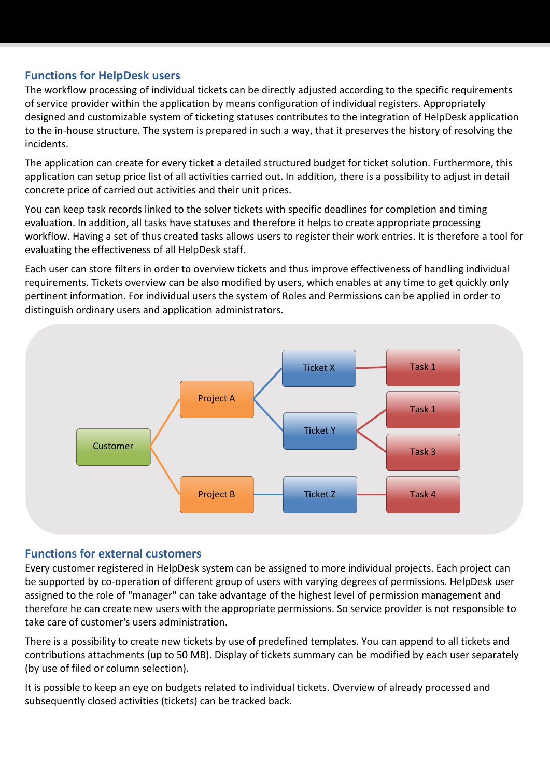## **Functions for HelpDesk users**

The workflow processing of individual tickets can be directly adjusted according to the specific requirements of service provider within the application by means configuration of individual registers. Appropriately designed and customizable system of ticketing statuses contributes to the integration of HelpDesk application to the in-house structure. The system is prepared in such a way, that it preserves the history of resolving the incidents.

The application can create for every ticket a detailed structured budget for ticket solution. Furthermore, this application can setup price list of all activities carried out. In addition, there is a possibility to adjust in detail concrete price of carried out activities and their unit prices.

You can keep task records linked to the solver tickets with specific deadlines for completion and timing evaluation. In addition, all tasks have statuses and therefore it helps to create appropriate processing workflow. Having a set of thus created tasks allows users to register their work entries. It is therefore a tool for evaluating the effectiveness of all HelpDesk staff.

Each user can store filters in order to overview tickets and thus improve effectiveness of handling individual requirements. Tickets overview can be also modified by users, which enables at any time to get quickly only pertinent information. For individual users the system of Roles and Permissions can be applied in order to distinguish ordinary users and application administrators.



#### **Functions for external customers**

Every customer registered in HelpDesk system can be assigned to more individual projects. Each project can be supported by co-operation of different group of users with varying degrees of permissions. HelpDesk user assigned to the role of "manager" can take advantage of the highest level of permission management and therefore he can create new users with the appropriate permissions. So service provider is not responsible to take care of customer's users administration.

There is a possibility to create new tickets by use of predefined templates. You can append to all tickets and contributions attachments (up to 50 MB). Display of tickets summary can be modified by each user separately (by use of filed or column selection).

It is possible to keep an eye on budgets related to individual tickets. Overview of already processed and subsequently closed activities (tickets) can be tracked back.